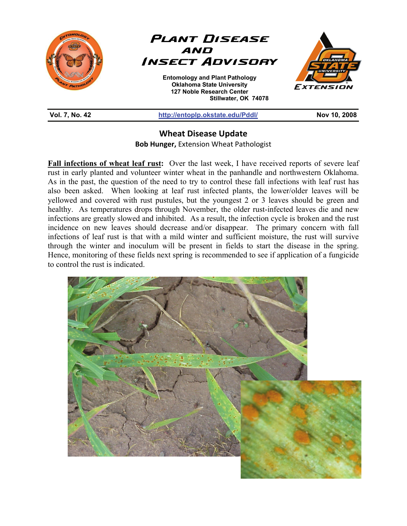

## **Wheat Disease Update**

**Bob Hunger,** Extension Wheat Pathologist

**Fall infections of wheat leaf rust:** Over the last week, I have received reports of severe leaf rust in early planted and volunteer winter wheat in the panhandle and northwestern Oklahoma. As in the past, the question of the need to try to control these fall infections with leaf rust has also been asked. When looking at leaf rust infected plants, the lower/older leaves will be yellowed and covered with rust pustules, but the youngest 2 or 3 leaves should be green and healthy. As temperatures drops through November, the older rust-infected leaves die and new infections are greatly slowed and inhibited. As a result, the infection cycle is broken and the rust incidence on new leaves should decrease and/or disappear. The primary concern with fall infections of leaf rust is that with a mild winter and sufficient moisture, the rust will survive through the winter and inoculum will be present in fields to start the disease in the spring. Hence, monitoring of these fields next spring is recommended to see if application of a fungicide to control the rust is indicated.